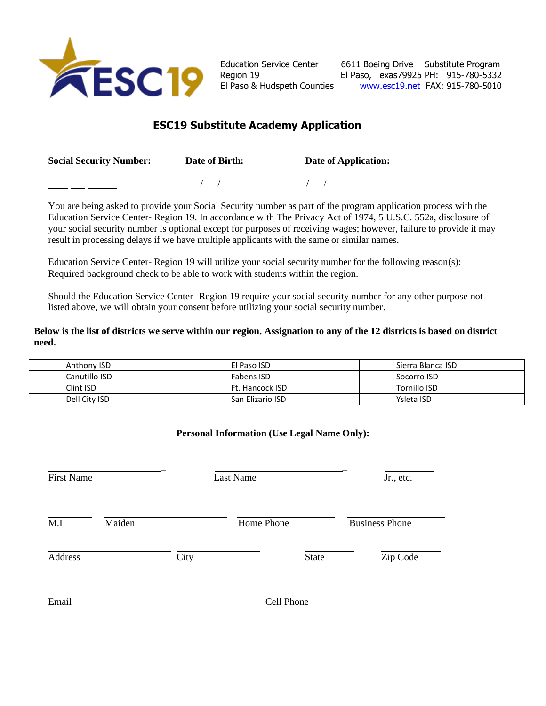

Education Service Center 6611 Boeing Drive Substitute Program Region 19 El Paso, Texas79925 PH: 915-780-5332 El Paso & Hudspeth Counties [www.esc19.net](http://www.esc19.net/) FAX: 915-780-5010

# **ESC19 Substitute Academy Application**

**Social Security Number: Date of Birth: Date of Application:**

 $\frac{1}{\sqrt{2}}$  /  $\frac{1}{\sqrt{2}}$  /  $\frac{1}{\sqrt{2}}$  /  $\frac{1}{\sqrt{2}}$  /  $\frac{1}{\sqrt{2}}$  /  $\frac{1}{\sqrt{2}}$  /  $\frac{1}{\sqrt{2}}$  /  $\frac{1}{\sqrt{2}}$  /  $\frac{1}{\sqrt{2}}$  /  $\frac{1}{\sqrt{2}}$  /  $\frac{1}{\sqrt{2}}$  /  $\frac{1}{\sqrt{2}}$  /  $\frac{1}{\sqrt{2}}$  /  $\frac{1}{\sqrt{2}}$  /  $\frac{1}{\sqrt{2}}$ 

You are being asked to provide your Social Security number as part of the program application process with the Education Service Center- Region 19. In accordance with The Privacy Act of 1974, 5 U.S.C. 552a, disclosure of your social security number is optional except for purposes of receiving wages; however, failure to provide it may result in processing delays if we have multiple applicants with the same or similar names.

Education Service Center- Region 19 will utilize your social security number for the following reason(s): Required background check to be able to work with students within the region.

Should the Education Service Center- Region 19 require your social security number for any other purpose not listed above, we will obtain your consent before utilizing your social security number.

**Below is the list of districts we serve within our region. Assignation to any of the 12 districts is based on district need.**

| Anthony ISD   | El Paso ISD      | Sierra Blanca ISD |
|---------------|------------------|-------------------|
| Canutillo ISD | Fabens ISD       | Socorro ISD       |
| Clint ISD     | Ft. Hancock ISD  | Tornillo ISD      |
| Dell City ISD | San Elizario ISD | Ysleta ISD        |

## **Personal Information (Use Legal Name Only):**

| <b>First Name</b> |        |      | <b>Last Name</b> |              | Jr., etc.             |
|-------------------|--------|------|------------------|--------------|-----------------------|
| M.I               | Maiden |      | Home Phone       |              | <b>Business Phone</b> |
| Address           |        | City |                  | <b>State</b> | Zip Code              |
| Email             |        |      | Cell Phone       |              |                       |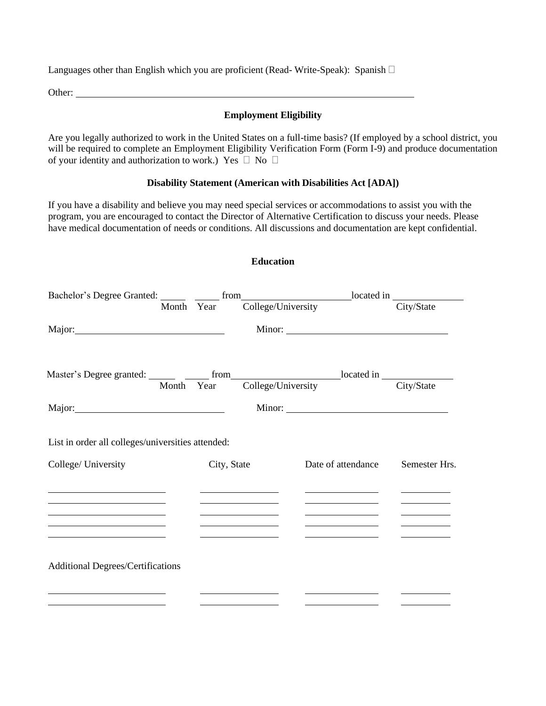Languages other than English which you are proficient (Read-Write-Speak): Spanish  $\Box$ 

Other:

### **Employment Eligibility**

Are you legally authorized to work in the United States on a full-time basis? (If employed by a school district, you will be required to complete an Employment Eligibility Verification Form (Form I-9) and produce documentation of your identity and authorization to work.) Yes  $\Box$  No  $\Box$ 

#### **Disability Statement (American with Disabilities Act [ADA])**

**Education**

If you have a disability and believe you may need special services or accommodations to assist you with the program, you are encouraged to contact the Director of Alternative Certification to discuss your needs. Please have medical documentation of needs or conditions. All discussions and documentation are kept confidential.

| Bachelor's Degree Granted: Month Year from College/University located in City/State                                                                                                                                                                                                     |                                                                                                                                                                                                                       |                                                                                                                                                                                                                                                                                          |                                                                            |
|-----------------------------------------------------------------------------------------------------------------------------------------------------------------------------------------------------------------------------------------------------------------------------------------|-----------------------------------------------------------------------------------------------------------------------------------------------------------------------------------------------------------------------|------------------------------------------------------------------------------------------------------------------------------------------------------------------------------------------------------------------------------------------------------------------------------------------|----------------------------------------------------------------------------|
| Major:                                                                                                                                                                                                                                                                                  |                                                                                                                                                                                                                       |                                                                                                                                                                                                                                                                                          |                                                                            |
| Master's Degree granted: Month Year College/University located in City/State                                                                                                                                                                                                            |                                                                                                                                                                                                                       |                                                                                                                                                                                                                                                                                          |                                                                            |
|                                                                                                                                                                                                                                                                                         |                                                                                                                                                                                                                       |                                                                                                                                                                                                                                                                                          |                                                                            |
| List in order all colleges/universities attended:                                                                                                                                                                                                                                       |                                                                                                                                                                                                                       |                                                                                                                                                                                                                                                                                          |                                                                            |
| College/ University                                                                                                                                                                                                                                                                     | City, State                                                                                                                                                                                                           | Date of attendance                                                                                                                                                                                                                                                                       | Semester Hrs.                                                              |
| the contract of the contract of the contract of the contract of the contract of<br>the control of the control of the control of the control of the control of                                                                                                                           | the control of the control of the control of the control of the control of<br>the control of the control of the control of the control of                                                                             | <u>and the state of the state of the state of the state of the state of the state of the state of the state of the state of the state of the state of the state of the state of the state of the state of the state of the state</u><br>the control of the control of the control of the | and the control of the control of the<br>and the state of the state of the |
| <u> 1989 - Johann Barbara, martin amerikan basal dan berasal dalam basal dalam basal dalam basal dalam basal dala</u><br><u> 1989 - Johann Stein, mars an deus an deus Amerikaansk kommunister (</u><br>the contract of the contract of the contract of the contract of the contract of | <u> 1989 - John Harry Harry Harry Harry Harry Harry Harry Harry Harry Harry Harry Harry Harry Harry Harry Harry H</u><br>the control of the control of the control of<br>the control of the control of the control of | <u> 1989 - Johann Barn, mars an t-Amerikaansk kommunister (</u><br><u> 1989 - John Harry Harry Harry Harry Harry Harry Harry Harry Harry Harry Harry Harry Harry Harry Harry Harry H</u><br>the company of the company of the company of                                                 | and the control of the control of<br><u> Albanya (Albanya)</u>             |
| <b>Additional Degrees/Certifications</b>                                                                                                                                                                                                                                                |                                                                                                                                                                                                                       |                                                                                                                                                                                                                                                                                          |                                                                            |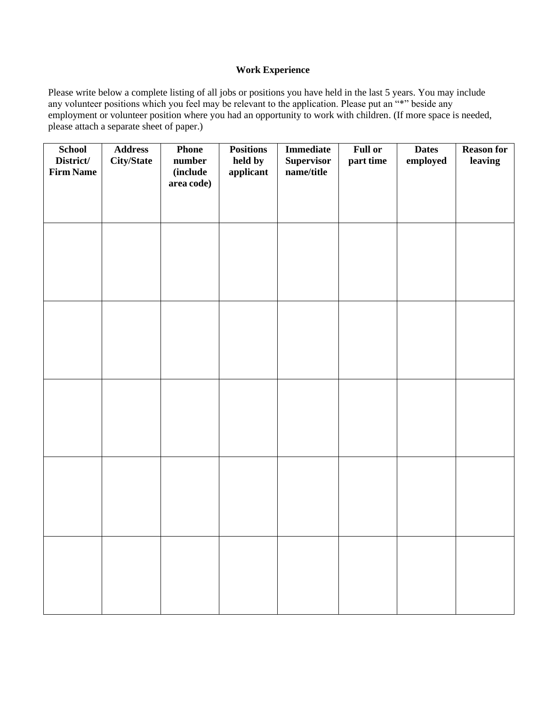### **Work Experience**

Please write below a complete listing of all jobs or positions you have held in the last 5 years. You may include any volunteer positions which you feel may be relevant to the application. Please put an "\*" beside any employment or volunteer position where you had an opportunity to work with children. (If more space is needed, please attach a separate sheet of paper.)

| <b>School</b><br>District/ | <b>Address</b><br>City/State | <b>Phone</b><br>number | <b>Positions</b><br>held by | <b>Immediate</b><br><b>Supervisor</b> | <b>Full or</b><br>part time | <b>Dates</b><br>employed | <b>Reason for</b><br>leaving |
|----------------------------|------------------------------|------------------------|-----------------------------|---------------------------------------|-----------------------------|--------------------------|------------------------------|
| <b>Firm Name</b>           |                              | (include<br>area code) | applicant                   | name/title                            |                             |                          |                              |
|                            |                              |                        |                             |                                       |                             |                          |                              |
|                            |                              |                        |                             |                                       |                             |                          |                              |
|                            |                              |                        |                             |                                       |                             |                          |                              |
|                            |                              |                        |                             |                                       |                             |                          |                              |
|                            |                              |                        |                             |                                       |                             |                          |                              |
|                            |                              |                        |                             |                                       |                             |                          |                              |
|                            |                              |                        |                             |                                       |                             |                          |                              |
|                            |                              |                        |                             |                                       |                             |                          |                              |
|                            |                              |                        |                             |                                       |                             |                          |                              |
|                            |                              |                        |                             |                                       |                             |                          |                              |
|                            |                              |                        |                             |                                       |                             |                          |                              |
|                            |                              |                        |                             |                                       |                             |                          |                              |
|                            |                              |                        |                             |                                       |                             |                          |                              |
|                            |                              |                        |                             |                                       |                             |                          |                              |
|                            |                              |                        |                             |                                       |                             |                          |                              |
|                            |                              |                        |                             |                                       |                             |                          |                              |
|                            |                              |                        |                             |                                       |                             |                          |                              |
|                            |                              |                        |                             |                                       |                             |                          |                              |
|                            |                              |                        |                             |                                       |                             |                          |                              |
|                            |                              |                        |                             |                                       |                             |                          |                              |
|                            |                              |                        |                             |                                       |                             |                          |                              |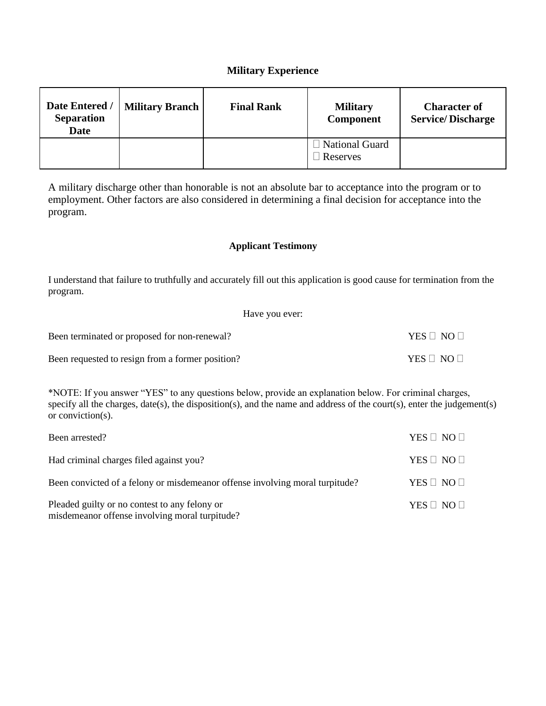# **Military Experience**

| Date Entered /<br><b>Separation</b><br><b>Date</b> | <b>Military Branch  </b> | <b>Final Rank</b> | <b>Military</b><br>Component        | <b>Character of</b><br><b>Service/Discharge</b> |
|----------------------------------------------------|--------------------------|-------------------|-------------------------------------|-------------------------------------------------|
|                                                    |                          |                   | □ National Guard<br>$\Box$ Reserves |                                                 |

A military discharge other than honorable is not an absolute bar to acceptance into the program or to employment. Other factors are also considered in determining a final decision for acceptance into the program.

### **Applicant Testimony**

I understand that failure to truthfully and accurately fill out this application is good cause for termination from the program.

| Have you ever:                                   |                      |
|--------------------------------------------------|----------------------|
| Been terminated or proposed for non-renewal?     | $YES \Box NO \Box$   |
| Been requested to resign from a former position? | YES $\Box$ NO $\Box$ |

\*NOTE: If you answer "YES" to any questions below, provide an explanation below. For criminal charges, specify all the charges, date(s), the disposition(s), and the name and address of the court(s), enter the judgement(s) or conviction(s).

| Been arrested?                                                                                  | YES $\Box$ NO $\Box$ |
|-------------------------------------------------------------------------------------------------|----------------------|
| Had criminal charges filed against you?                                                         | $YES \Box NO \Box$   |
| Been convicted of a felony or misdemeanor offense involving moral turpitude?                    | YES $\Box$ NO $\Box$ |
| Pleaded guilty or no contest to any felony or<br>misdemeanor offense involving moral turpitude? | YES $\Box$ NO $\Box$ |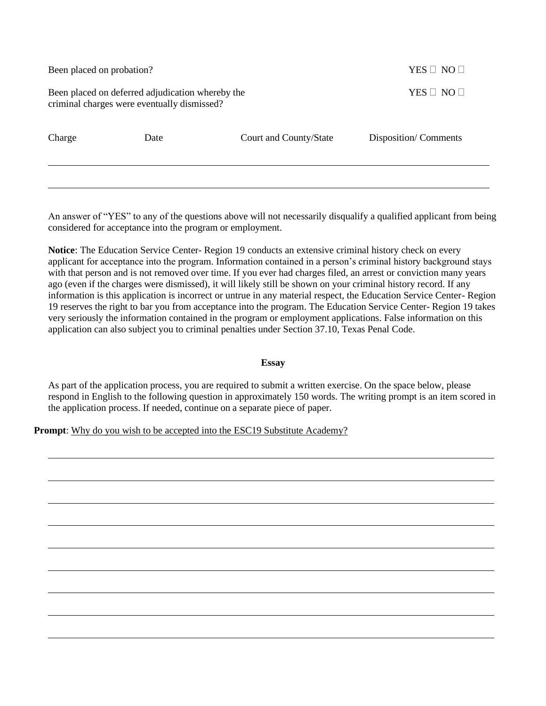| Been placed on probation?                                                                       |      | YES $\Box$ NO $\Box$   |                      |  |
|-------------------------------------------------------------------------------------------------|------|------------------------|----------------------|--|
| Been placed on deferred adjudication whereby the<br>criminal charges were eventually dismissed? |      |                        | YES $\Box$ NO $\Box$ |  |
| Charge                                                                                          | Date | Court and County/State | Disposition/Comments |  |
|                                                                                                 |      |                        |                      |  |

An answer of "YES" to any of the questions above will not necessarily disqualify a qualified applicant from being considered for acceptance into the program or employment.

**Notice**: The Education Service Center- Region 19 conducts an extensive criminal history check on every applicant for acceptance into the program. Information contained in a person's criminal history background stays with that person and is not removed over time. If you ever had charges filed, an arrest or conviction many years ago (even if the charges were dismissed), it will likely still be shown on your criminal history record. If any information is this application is incorrect or untrue in any material respect, the Education Service Center- Region 19 reserves the right to bar you from acceptance into the program. The Education Service Center- Region 19 takes very seriously the information contained in the program or employment applications. False information on this application can also subject you to criminal penalties under Section 37.10, Texas Penal Code.

#### **Essay**

As part of the application process, you are required to submit a written exercise. On the space below, please respond in English to the following question in approximately 150 words. The writing prompt is an item scored in the application process. If needed, continue on a separate piece of paper.

Prompt: Why do you wish to be accepted into the ESC19 Substitute Academy?